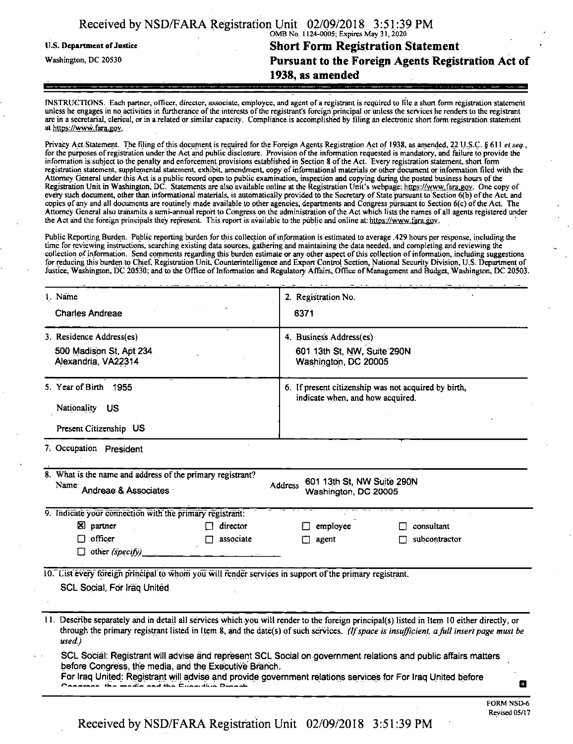|                                   | Received by NSD/FARA Registration Unit 02/09/2018 3:51:39 PM |  |  |  |  |
|-----------------------------------|--------------------------------------------------------------|--|--|--|--|
|                                   | OMB No. 1124-0005; Expires May 31, 2020                      |  |  |  |  |
| <b>U.S. Department of Justice</b> | <b>Short Form Registration Statement</b>                     |  |  |  |  |
| Washington, DC 20530              | Pursuant to the Foreign Agents Registration Act of           |  |  |  |  |
|                                   | 1938, as amended                                             |  |  |  |  |
|                                   |                                                              |  |  |  |  |

INSTRUCTIONS. Each partner, officer, director, associate, employee, and agent of a registrant is required to file a short form registration statement unless he engages in no activities in furtherance of the interests of the registrant's foreign principal or unless the services he renders to the registrant are in a secretarial, clerical, or in a related or similar capacity. Compliance is accomplished by filing an electronic short form registration statement at https://www.fara.gov.

Privacy Act Statement. The filing of this document is required for the Foreign Agents Registration Act of 1938, as amended, 22 U.S.C. § 611 *et seq.*, for the purposes ofregistration under the Act and public disclosure. Provision ofthe information requested is mandatory, and failure to provide the information is subject to die penalty and enforcement provisions established in Section 8 ofthe Act. Every registration statement, short form registration statement, supplemental statement, exhibit, amendment, copy ofinformational materials or other document or information filed with the Attorney General under, this Act is a public record open to public examination, inspection and copying during the posted business hours ofthe Registration Unit in Washington; DC. Statements are also available online at the Registration Unit's webpage: https://www.fara.gov. One copy of every such document, other than informational materials, is automatically provided to the Secretary of State pursuant to Section 6(b) of the Act. and copies of any and all documents are routinely made available to other agencies, departments and Congress pursuant to Section 6(c) ofthe Act. The Attorney General also transmits a semi-annual report to Congress on the administration ofthe Act which lists the names of all agents registered under the Act and the foreign principals they represent. This report is available to the public and online at: https://www.fara.gov.

Public Reporting Burden. Public reporting burden for this collection of information is estimated to average .429 hours per response, including the time for reviewing instructions, searching existing data sources, gathering and maintaining the data needed, and completing and reviewing the collection of information. Send comments regarding this burden estimate or any other aspect of this collection of information, including suggestions for reducing this burden to Chief, Registration Unit, Counterintelligence and Export Control Section, National Security Division, U.S. Department of Justice, Washington, DC 20530; and to the Office of Information and Regulatory Affairs, Office of Management and Budget, Washington, DC 20503.

| 1. Name                                                                                                 | 2. Registration No.                                                                                                                                                                                                                                                                                                                                                                                      |  |  |
|---------------------------------------------------------------------------------------------------------|----------------------------------------------------------------------------------------------------------------------------------------------------------------------------------------------------------------------------------------------------------------------------------------------------------------------------------------------------------------------------------------------------------|--|--|
| <b>Charles Andreae</b>                                                                                  | 6371                                                                                                                                                                                                                                                                                                                                                                                                     |  |  |
| 3. Residence Address(es)                                                                                | 4. Business Address(es)                                                                                                                                                                                                                                                                                                                                                                                  |  |  |
| 500 Madison St, Apt 234                                                                                 | 601 13th St, NW, Suite 290N                                                                                                                                                                                                                                                                                                                                                                              |  |  |
| Alexandria, VA22314                                                                                     | Washington, DC 20005                                                                                                                                                                                                                                                                                                                                                                                     |  |  |
| 5. Year of Birth 1955                                                                                   | 6. If present citizenship was not acquired by birth,<br>indicate when, and how acquired.                                                                                                                                                                                                                                                                                                                 |  |  |
| Nationality<br>- US                                                                                     |                                                                                                                                                                                                                                                                                                                                                                                                          |  |  |
|                                                                                                         |                                                                                                                                                                                                                                                                                                                                                                                                          |  |  |
| Present Citizenship US                                                                                  |                                                                                                                                                                                                                                                                                                                                                                                                          |  |  |
| 7. Occupation President                                                                                 |                                                                                                                                                                                                                                                                                                                                                                                                          |  |  |
| 8. What is the name and address of the primary registrant?<br>Name Andreae & Associates                 | 601 13th St, NW Suite 290N<br><b>Address</b><br>Washington, DC 20005                                                                                                                                                                                                                                                                                                                                     |  |  |
| 9. Indicate your connection with the primary registrant:                                                |                                                                                                                                                                                                                                                                                                                                                                                                          |  |  |
| <b>X</b> partner<br>director<br>П                                                                       | employee<br>consultant                                                                                                                                                                                                                                                                                                                                                                                   |  |  |
| officer<br>associate<br>П                                                                               | agent<br>subcontractor                                                                                                                                                                                                                                                                                                                                                                                   |  |  |
| other (specify)<br><b>Carl Carl Co.</b>                                                                 |                                                                                                                                                                                                                                                                                                                                                                                                          |  |  |
| 10. List every foreign principal to whom you will render services in support of the primary registrant. |                                                                                                                                                                                                                                                                                                                                                                                                          |  |  |
| SCL Social, For Iraq United                                                                             |                                                                                                                                                                                                                                                                                                                                                                                                          |  |  |
| used)                                                                                                   | 11. Describe separately and in detail all services which you will render to the foreign principal(s) listed in Item 10 either directly, or<br>through the primary registrant listed in Item 8, and the date(s) of such services. (If space is insufficient, a full insert page must be<br>SCL Social: Registrant will advise and represent SCL Social on government relations and public affairs matters |  |  |
| before Congress, the media, and the Executive Branch.<br>d the Cunnition Dranch                         | For Iraq United: Registrant will advise and provide government relations services for For Iraq United before<br>O                                                                                                                                                                                                                                                                                        |  |  |
|                                                                                                         | <b>FORM NSD-6</b>                                                                                                                                                                                                                                                                                                                                                                                        |  |  |

FORM NSD-6 Revised 05/17

Received by NSD/FARA Registration Unit 02/09/2018 3:51:39 PM